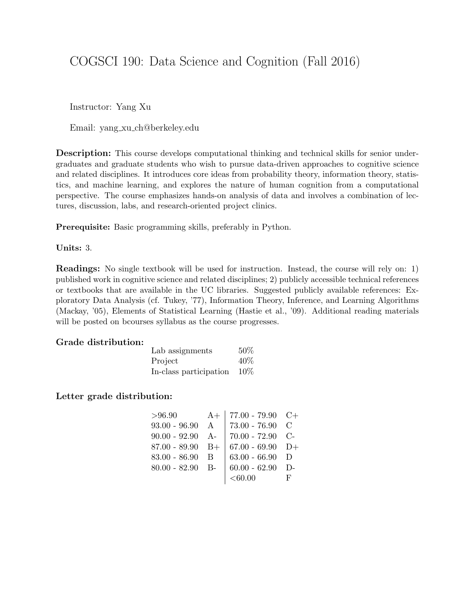# COGSCI 190: Data Science and Cognition (Fall 2016)

Instructor: Yang Xu

Email: yang xu ch@berkeley.edu

Description: This course develops computational thinking and technical skills for senior undergraduates and graduate students who wish to pursue data-driven approaches to cognitive science and related disciplines. It introduces core ideas from probability theory, information theory, statistics, and machine learning, and explores the nature of human cognition from a computational perspective. The course emphasizes hands-on analysis of data and involves a combination of lectures, discussion, labs, and research-oriented project clinics.

Prerequisite: Basic programming skills, preferably in Python.

#### Units: 3.

Readings: No single textbook will be used for instruction. Instead, the course will rely on: 1) published work in cognitive science and related disciplines; 2) publicly accessible technical references or textbooks that are available in the UC libraries. Suggested publicly available references: Exploratory Data Analysis (cf. Tukey, '77), Information Theory, Inference, and Learning Algorithms (Mackay, '05), Elements of Statistical Learning (Hastie et al., '09). Additional reading materials will be posted on bcourses syllabus as the course progresses.

#### Grade distribution:

| Lab assignments        | 50% |
|------------------------|-----|
| Project                | 40% |
| In-class participation | 10% |

#### Letter grade distribution:

| >96.90             | $A+$ | 77.00 - 79.90 $C+$ |   |
|--------------------|------|--------------------|---|
| $93.00 - 96.90$ A  |      | $73.00 - 76.90$ C  |   |
| $90.00 - 92.90$ A- |      | $70.00 - 72.90$ C- |   |
| $87.00 - 89.90$ B+ |      | $67.00 - 69.90$ D+ |   |
| 83.00 - 86.90 B    |      | $63.00 - 66.90$ D  |   |
| $80.00 - 82.90$ B- |      | $60.00 - 62.90$ D- |   |
|                    |      | $<\!\!60.00$       | F |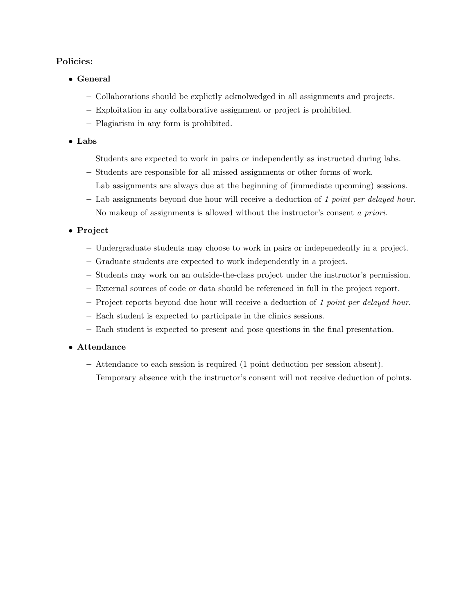## Policies:

- General
	- Collaborations should be explictly acknolwedged in all assignments and projects.
	- Exploitation in any collaborative assignment or project is prohibited.
	- Plagiarism in any form is prohibited.

### • Labs

- Students are expected to work in pairs or independently as instructed during labs.
- Students are responsible for all missed assignments or other forms of work.
- Lab assignments are always due at the beginning of (immediate upcoming) sessions.
- Lab assignments beyond due hour will receive a deduction of 1 point per delayed hour.
- No makeup of assignments is allowed without the instructor's consent a priori.

## • Project

- Undergraduate students may choose to work in pairs or indepenedently in a project.
- Graduate students are expected to work independently in a project.
- Students may work on an outside-the-class project under the instructor's permission.
- External sources of code or data should be referenced in full in the project report.
- Project reports beyond due hour will receive a deduction of 1 point per delayed hour.
- Each student is expected to participate in the clinics sessions.
- Each student is expected to present and pose questions in the final presentation.

#### • Attendance

- Attendance to each session is required (1 point deduction per session absent).
- Temporary absence with the instructor's consent will not receive deduction of points.